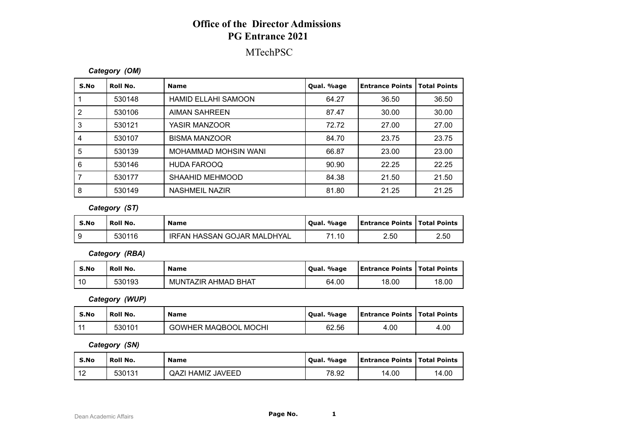## **Office of the Director Admissions PG Entrance 2021**

### MTechPSC

#### *Category (OM)*

| S.No | Roll No. | <b>Name</b>                | Qual. %age | <b>Entrance Points</b> | <b>Total Points</b> |
|------|----------|----------------------------|------------|------------------------|---------------------|
|      | 530148   | <b>HAMID ELLAHI SAMOON</b> | 64.27      | 36.50                  | 36.50               |
| 2    | 530106   | AIMAN SAHREEN              | 87.47      | 30.00                  | 30.00               |
| 3    | 530121   | YASIR MANZOOR              | 72.72      | 27.00                  | 27.00               |
| 4    | 530107   | <b>BISMA MANZOOR</b>       | 84.70      | 23.75                  | 23.75               |
| 5    | 530139   | MOHAMMAD MOHSIN WANI       | 66.87      | 23.00                  | 23.00               |
| 6    | 530146   | <b>HUDA FAROOQ</b>         | 90.90      | 22.25                  | 22.25               |
|      | 530177   | SHAAHID MEHMOOD            | 84.38      | 21.50                  | 21.50               |
| 8    | 530149   | NASHMEIL NAZIR             | 81.80      | 21.25                  | 21.25               |

#### *Category (ST)*

| S.No | Roll No. | <b>Name</b>                 | . %age<br>Oual. | <b>Entrance Points   Total Points</b> |      |
|------|----------|-----------------------------|-----------------|---------------------------------------|------|
|      | 530116   | IRFAN HASSAN GOJAR MALDHYAL | 71.10           | 2.50                                  | 2.50 |

*Category (RBA)*

| S.No | Roll No. | <b>Name</b>         | Qual. %age | <b>Entrance Points   Total Points</b> |       |
|------|----------|---------------------|------------|---------------------------------------|-------|
| 10   | 530193   | MUNTAZIR AHMAD BHAT | 64.00      | 18.00                                 | 18.00 |

*Category (WUP)*

| S.No | Roll No. | <b>Name</b>                 | . %age<br>Oual. | <b>Entrance Points   Total Points</b> |      |
|------|----------|-----------------------------|-----------------|---------------------------------------|------|
|      | 530101   | <b>GOWHER MAQBOOL MOCHI</b> | 62.56           | 4.00                                  | 4.00 |

*Category (SN)*

| S.No             | Roll No. | <b>Name</b>              | Qual. %age | <b>Entrance Points   Total Points</b> |       |
|------------------|----------|--------------------------|------------|---------------------------------------|-------|
| $\sqrt{2}$<br>╶╹ | 530131   | <b>QAZI HAMIZ JAVEED</b> | 78.92      | 14.00                                 | 14.00 |